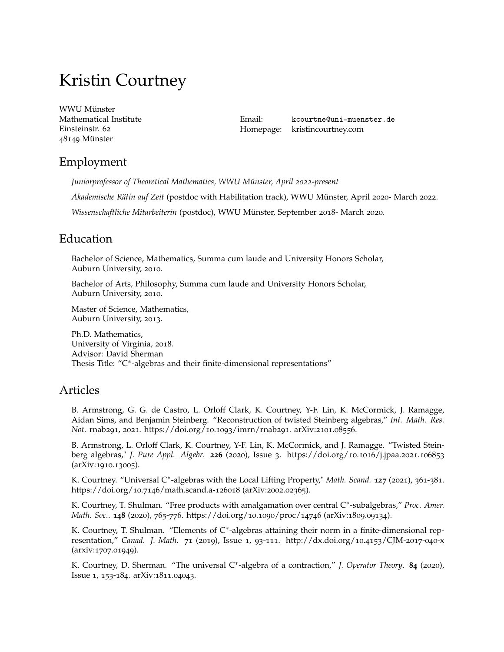# Kristin Courtney

[WWU Münster](https://www.uni-muenster.de/MathematischesInstitut/index.shtml) Mathematical Institute Einsteinstr. 62 48149 Münster

Email: [kcourtne@uni-muenster.de](mailto:krelco22@gmail.com) Homepage: <kristincourtney.com>

# Employment

*Juniorprofessor of Theoretical Mathematics, WWU Münster, April 2022-present*

*Akademische Rätin auf Zeit* (postdoc with Habilitation track), WWU Münster, April 2020- March 2022.

*Wissenschaftliche Mitarbeiterin* (postdoc), WWU Münster, September 2018- March 2020.

# Education

Bachelor of Science, Mathematics, Summa cum laude and University Honors Scholar, Auburn University, 2010.

Bachelor of Arts, Philosophy, Summa cum laude and University Honors Scholar, Auburn University, 2010.

Master of Science, Mathematics, Auburn University, 2013.

Ph.D. Mathematics, University of Virginia, 2018. Advisor: David Sherman Thesis Title: "C<sup>\*</sup>-algebras and their finite-dimensional representations"

## Articles

B. Armstrong, G. G. de Castro, L. Orloff Clark, K. Courtney, Y-F. Lin, K. McCormick, J. Ramagge, Aidan Sims, and Benjamin Steinberg. "Reconstruction of twisted Steinberg algebras," *Int. Math. Res. Not.* rnab291, 2021. [https://doi.org/](https://doi.org/10.1093/imrn/rnab291)10.1093/imrn/rnab291. [arXiv:](https://arxiv.org/abs/2101.08556)2101.08556.

B. Armstrong, L. Orloff Clark, K. Courtney, Y-F. Lin, K. McCormick, and J. Ramagge. "Twisted Steinberg algebras," *J. Pure Appl. Algebr.* **226** (2020), Issue 3. [https://doi.org/](https://doi.org/10.1016/j.jpaa.2021.106853)10.1016/j.jpaa.2021.106853 [\(arXiv:](https://arxiv.org/abs/1910.13005)1910.13005).

K. Courtney. "Universal C<sup>\*</sup>-algebras with the Local Lifting Property," Math. Scand. **127** (2021), 361-381. [https://doi.org/](https://doi.org/10.7146/math.scand.a-126018)10.7146/math.scand.a-126018 [\(arXiv:](https://arxiv.org/abs/2002.02365)2002.02365).

K. Courtney, T. Shulman. "Free products with amalgamation over central C<sup>∗</sup> -subalgebras," *Proc. Amer. Math. Soc.*. **148** (2020), 765-776. [https://doi.org/](https://doi.org/10.1090/proc/14746)10.1090/proc/14746 [\(arXiv:](https://arxiv.org/abs/1809.09134)1809.09134).

K. Courtney, T. Shulman. "Elements of C<sup>\*</sup>-algebras attaining their norm in a finite-dimensional representation," *Canad. J. Math.* **71** (2019), Issue 1, 93-111. [http://dx.doi.org/](http://dx.doi.org/10.4153/CJM-2017-040-x)10.4153/CJM-2017-040-x [\(arxiv:](https://arxiv.org/abs/1707.01949)1707.01949).

K. Courtney, D. Sherman. "The universal C<sup>\*</sup>-algebra of a contraction," *J. Operator Theory*. 84 (2020), Issue 1, 153-184. [arXiv:](https://arxiv.org/abs/1811.04043)1811.04043.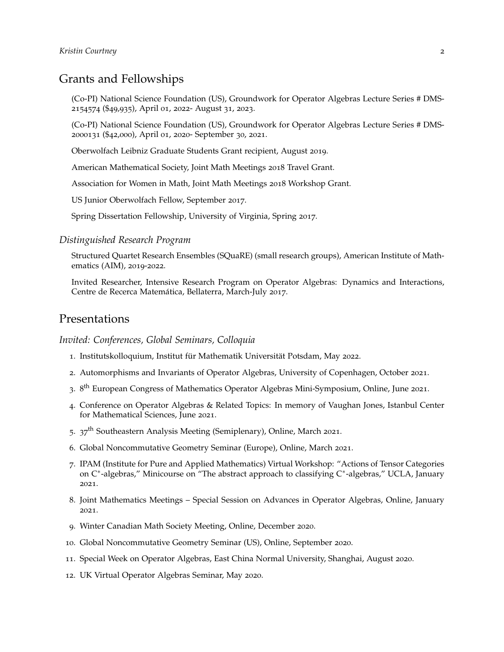# Grants and Fellowships

(Co-PI) National Science Foundation (US), Groundwork for Operator Algebras Lecture Series # DMS-2154574 (\$49,935), April 01, 2022- August 31, 2023.

(Co-PI) National Science Foundation (US), Groundwork for Operator Algebras Lecture Series # DMS-2000131 (\$42,000), April 01, 2020- September 30, 2021.

Oberwolfach Leibniz Graduate Students Grant recipient, August 2019.

American Mathematical Society, Joint Math Meetings 2018 Travel Grant.

Association for Women in Math, Joint Math Meetings 2018 Workshop Grant.

US Junior Oberwolfach Fellow, September 2017.

Spring Dissertation Fellowship, University of Virginia, Spring 2017.

#### *Distinguished Research Program*

Structured Quartet Research Ensembles (SQuaRE) (small research groups), American Institute of Mathematics (AIM), 2019-2022.

Invited Researcher, Intensive Research Program on Operator Algebras: Dynamics and Interactions, Centre de Recerca Matemática, Bellaterra, March-July 2017.

## Presentations

## *Invited: Conferences, Global Seminars, Colloquia*

- 1. Institutskolloquium, Institut für Mathematik Universität Potsdam, May 2022.
- 2. Automorphisms and Invariants of Operator Algebras, University of Copenhagen, October 2021.
- 3. 8<sup>th</sup> European Congress of Mathematics Operator Algebras Mini-Symposium, Online, June 2021.
- 4. Conference on Operator Algebras & Related Topics: In memory of Vaughan Jones, Istanbul Center for Mathematical Sciences, June 2021.
- 5.  $37<sup>th</sup>$  Southeastern Analysis Meeting (Semiplenary), Online, March 2021.
- 6. Global Noncommutative Geometry Seminar (Europe), Online, March 2021.
- 7. IPAM (Institute for Pure and Applied Mathematics) Virtual Workshop: "Actions of Tensor Categories on C<sup>∗</sup>-algebras," Minicourse on "The abstract approach to classifying C<sup>∗</sup>-algebras," UCLA, January 2021.
- 8. Joint Mathematics Meetings Special Session on Advances in Operator Algebras, Online, January 2021.
- 9. Winter Canadian Math Society Meeting, Online, December 2020.
- 10. Global Noncommutative Geometry Seminar (US), Online, September 2020.
- 11. Special Week on Operator Algebras, East China Normal University, Shanghai, August 2020.
- 12. UK Virtual Operator Algebras Seminar, May 2020.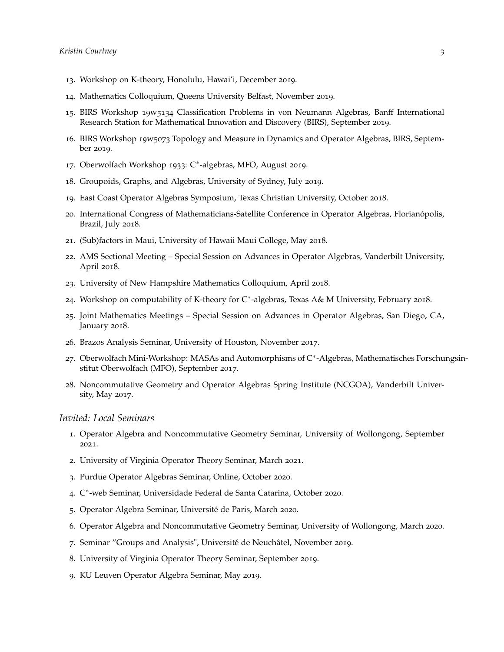- . Workshop on K-theory, Honolulu, Hawai'i, December 2019.
- . Mathematics Colloquium, Queens University Belfast, November 2019.
- . BIRS Workshop 19w5134 Classification Problems in von Neumann Algebras, Banff International Research Station for Mathematical Innovation and Discovery (BIRS), September 2019.
- . BIRS Workshop 19w5073 Topology and Measure in Dynamics and Operator Algebras, BIRS, September 2019.
- . Oberwolfach Workshop 1933: C<sup>∗</sup> -algebras, MFO, August 2019.
- . Groupoids, Graphs, and Algebras, University of Sydney, July 2019.
- . East Coast Operator Algebras Symposium, Texas Christian University, October 2018.
- . International Congress of Mathematicians-Satellite Conference in Operator Algebras, Florianópolis, Brazil, July 2018.
- . (Sub)factors in Maui, University of Hawaii Maui College, May 2018.
- . AMS Sectional Meeting Special Session on Advances in Operator Algebras, Vanderbilt University, April 2018.
- . University of New Hampshire Mathematics Colloquium, April 2018.
- . Workshop on computability of K-theory for C<sup>∗</sup> -algebras, Texas A& M University, February 2018.
- . Joint Mathematics Meetings Special Session on Advances in Operator Algebras, San Diego, CA, January 2018.
- . Brazos Analysis Seminar, University of Houston, November 2017.
- 27. Oberwolfach Mini-Workshop: MASAs and Automorphisms of C<sup>\*</sup>-Algebras, Mathematisches Forschungsinstitut Oberwolfach (MFO), September 2017.
- . Noncommutative Geometry and Operator Algebras Spring Institute (NCGOA), Vanderbilt University, May 2017.

#### *Invited: Local Seminars*

- . Operator Algebra and Noncommutative Geometry Seminar, University of Wollongong, September .
- . University of Virginia Operator Theory Seminar, March 2021.
- . Purdue Operator Algebras Seminar, Online, October 2020.
- . C ∗ -web Seminar, Universidade Federal de Santa Catarina, October 2020.
- . Operator Algebra Seminar, Université de Paris, March 2020.
- . Operator Algebra and Noncommutative Geometry Seminar, University of Wollongong, March 2020.
- . Seminar "Groups and Analysis", Université de Neuchâtel, November 2019.
- . University of Virginia Operator Theory Seminar, September 2019.
- . KU Leuven Operator Algebra Seminar, May 2019.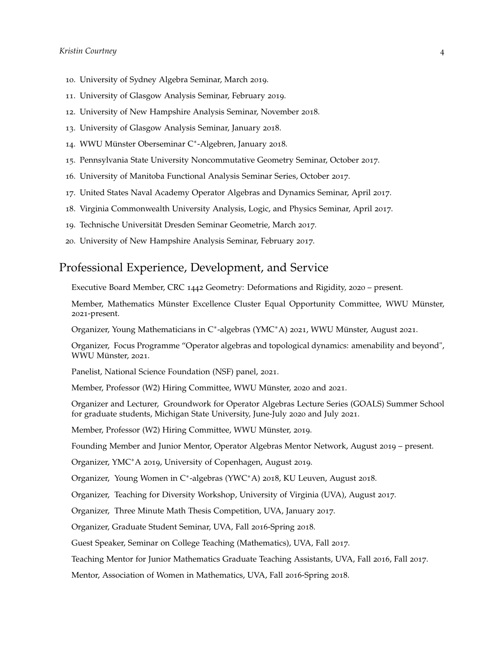- 10. University of Sydney Algebra Seminar, March 2019.
- 11. University of Glasgow Analysis Seminar, February 2019.
- 12. University of New Hampshire Analysis Seminar, November 2018.
- 13. University of Glasgow Analysis Seminar, January 2018.
- 14. WWU Münster Oberseminar C<sup>∗</sup> -Algebren, January 2018.
- 15. Pennsylvania State University Noncommutative Geometry Seminar, October 2017.
- 16. University of Manitoba Functional Analysis Seminar Series, October 2017.
- 17. United States Naval Academy Operator Algebras and Dynamics Seminar, April 2017.
- 18. Virginia Commonwealth University Analysis, Logic, and Physics Seminar, April 2017.
- 19. Technische Universität Dresden Seminar Geometrie, March 2017.
- 20. University of New Hampshire Analysis Seminar, February 2017.

## Professional Experience, Development, and Service

Executive Board Member, CRC 1442 Geometry: Deformations and Rigidity, 2020 – present.

Member, Mathematics Münster Excellence Cluster Equal Opportunity Committee, WWU Münster, 2021-present.

Organizer, Young Mathematicians in C<sup>∗</sup> -algebras (YMC∗A) 2021, WWU Münster, August 2021.

Organizer, Focus Programme "Operator algebras and topological dynamics: amenability and beyond", WWU Münster, 2021.

Panelist, National Science Foundation (NSF) panel, 2021.

Member, Professor (W2) Hiring Committee, WWU Münster, 2020 and 2021.

Organizer and Lecturer, Groundwork for Operator Algebras Lecture Series (GOALS) Summer School for graduate students, Michigan State University, June-July 2020 and July 2021.

Member, Professor (W2) Hiring Committee, WWU Münster, 2019.

Founding Member and Junior Mentor, Operator Algebras Mentor Network, August 2019 – present.

Organizer, YMC∗A 2019, University of Copenhagen, August 2019.

Organizer, Young Women in C<sup>∗</sup> -algebras (YWC∗A) 2018, KU Leuven, August 2018.

Organizer, Teaching for Diversity Workshop, University of Virginia (UVA), August 2017.

Organizer, Three Minute Math Thesis Competition, UVA, January 2017.

Organizer, Graduate Student Seminar, UVA, Fall 2016-Spring 2018.

Guest Speaker, Seminar on College Teaching (Mathematics), UVA, Fall 2017.

Teaching Mentor for Junior Mathematics Graduate Teaching Assistants, UVA, Fall 2016, Fall 2017.

Mentor, Association of Women in Mathematics, UVA, Fall 2016-Spring 2018.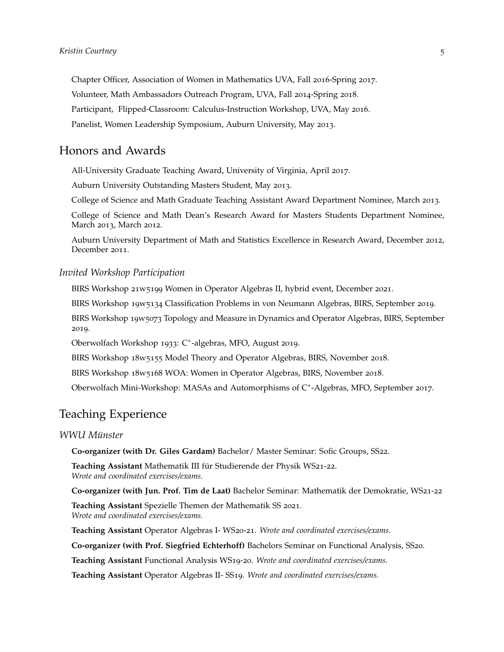Chapter Officer, Association of Women in Mathematics UVA, Fall 2016-Spring 2017. Volunteer, Math Ambassadors Outreach Program, UVA, Fall 2014-Spring 2018. Participant, Flipped-Classroom: Calculus-Instruction Workshop, UVA, May 2016. Panelist, Women Leadership Symposium, Auburn University, May 2013.

## Honors and Awards

All-University Graduate Teaching Award, University of Virginia, April 2017.

Auburn University Outstanding Masters Student, May 2013.

College of Science and Math Graduate Teaching Assistant Award Department Nominee, March 2013.

College of Science and Math Dean's Research Award for Masters Students Department Nominee, March 2013, March 2012.

Auburn University Department of Math and Statistics Excellence in Research Award, December 2012, December 2011.

## *Invited Workshop Participation*

BIRS Workshop 21w5199 Women in Operator Algebras II, hybrid event, December 2021.

BIRS Workshop 19w5134 Classification Problems in von Neumann Algebras, BIRS, September 2019.

BIRS Workshop 19w5073 Topology and Measure in Dynamics and Operator Algebras, BIRS, September 2019.

Oberwolfach Workshop 1933: C<sup>∗</sup> -algebras, MFO, August 2019.

BIRS Workshop 18w5155 Model Theory and Operator Algebras, BIRS, November 2018.

BIRS Workshop 18w5168 WOA: Women in Operator Algebras, BIRS, November 2018.

Oberwolfach Mini-Workshop: MASAs and Automorphisms of C<sup>∗</sup> -Algebras, MFO, September 2017.

## Teaching Experience

## *WWU Münster*

**Co-organizer (with Dr. Giles Gardam)** Bachelor/ Master Seminar: Sofic Groups, SS22.

**Teaching Assistant** Mathematik III für Studierende der Physik WS21-22. *Wrote and coordinated exercises/exams.*

**Co-organizer (with Jun. Prof. Tim de Laat)** Bachelor Seminar: Mathematik der Demokratie, WS21-22

**Teaching Assistant** Spezielle Themen der Mathematik SS 2021. *Wrote and coordinated exercises/exams.*

**Teaching Assistant** Operator Algebras I- WS20-21. *Wrote and coordinated exercises/exams.*

**Co-organizer (with Prof. Siegfried Echterhoff)** Bachelors Seminar on Functional Analysis, SS20.

**Teaching Assistant** Functional Analysis WS19-20. *Wrote and coordinated exercises/exams.*

**Teaching Assistant** Operator Algebras II- SS19. *Wrote and coordinated exercises/exams.*